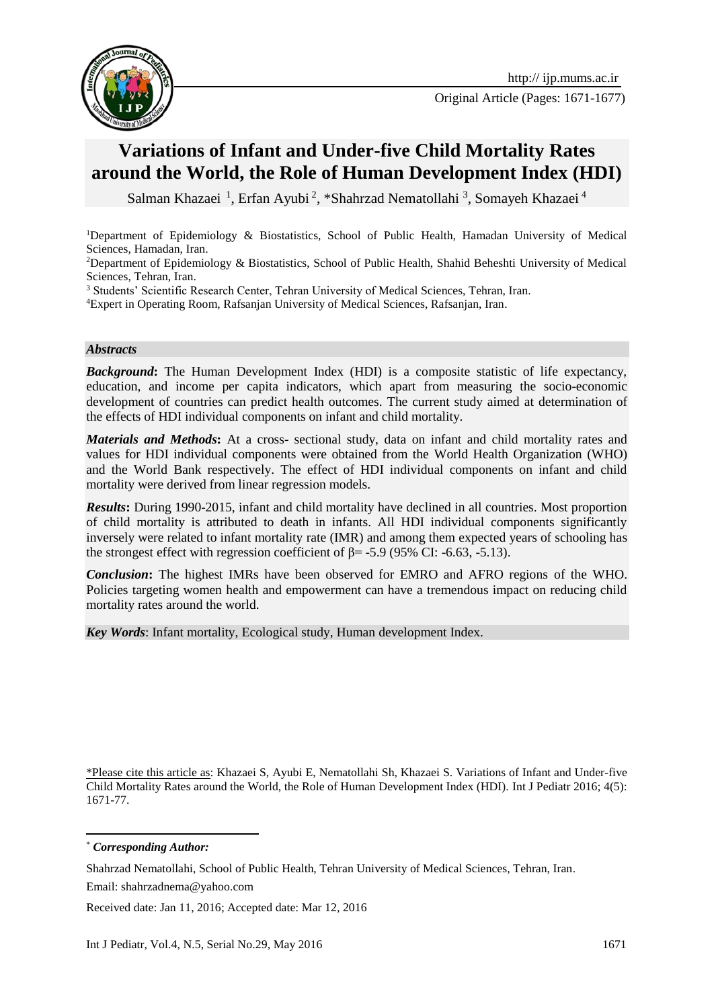

Original Article (Pages: 1671-1677)

# **Variations of Infant and Under-five Child Mortality Rates around the World, the Role of Human Development Index (HDI)**

Salman Khazaei<sup>1</sup>, Erfan Ayubi<sup>2</sup>, \*Shahrzad Nematollahi<sup>3</sup>, Somayeh Khazaei<sup>4</sup>

<sup>1</sup>Department of Epidemiology & Biostatistics, School of Public Health, Hamadan University of Medical Sciences, Hamadan, Iran.

<sup>2</sup>Department of Epidemiology & Biostatistics, School of Public Health, Shahid Beheshti University of Medical Sciences, Tehran, Iran.

<sup>3</sup> Students' Scientific Research Center, Tehran University of Medical Sciences, Tehran, Iran.

<sup>4</sup>Expert in Operating Room, Rafsanjan University of Medical Sciences, Rafsanjan, Iran.

#### *Abstracts*

*Background***:** The Human Development Index (HDI) is a composite statistic of life expectancy, education, and income per capita indicators, which apart from measuring the socio-economic development of countries can predict health outcomes. The current study aimed at determination of the effects of HDI individual components on infant and child mortality.

*Materials and Methods***:** At a cross- sectional study, data on infant and child mortality rates and values for HDI individual components were obtained from the World Health Organization (WHO) and the World Bank respectively. The effect of HDI individual components on infant and child mortality were derived from linear regression models.

*Results***:** During 1990-2015, infant and child mortality have declined in all countries. Most proportion of child mortality is attributed to death in infants. All HDI individual components significantly inversely were related to infant mortality rate (IMR) and among them expected years of schooling has the strongest effect with regression coefficient of  $\beta$ = -5.9 (95% CI: -6.63, -5.13).

*Conclusion***:** The highest IMRs have been observed for EMRO and AFRO regions of the WHO. Policies targeting women health and empowerment can have a tremendous impact on reducing child mortality rates around the world.

*Key Words*: Infant mortality, Ecological study, Human development Index.

\*Please cite this article as: Khazaei S, Ayubi E, Nematollahi Sh, Khazaei S. Variations of Infant and Under-five Child Mortality Rates around the World, the Role of Human Development Index (HDI). Int J Pediatr 2016; 4(5): 1671-77.

1 \* *Corresponding Author:*

Shahrzad Nematollahi, School of Public Health, Tehran University of Medical Sciences, Tehran, Iran. Email: [shahrzadnema@yahoo.com](mailto:shahrzadnema@yahoo.com)

Received date: Jan 11, 2016; Accepted date: Mar 12, 2016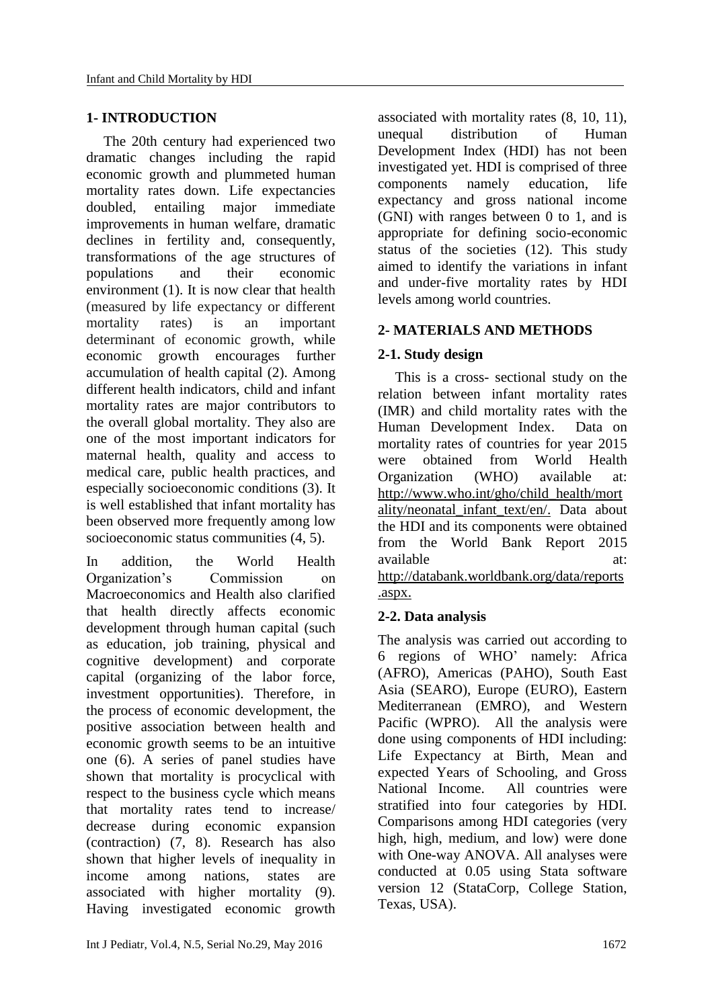### **1- INTRODUCTION**

The 20th century had experienced two dramatic changes including the rapid economic growth and plummeted human mortality rates down. Life expectancies doubled, entailing major immediate improvements in human welfare, dramatic declines in fertility and, consequently, transformations of the age structures of populations and their economic environment [\(1\)](#page-5-0). It is now clear that health (measured by life expectancy or different mortality rates) is an important determinant of economic growth, while economic growth encourages further accumulation of health capital [\(2\)](#page-5-1). Among different health indicators, child and infant mortality rates are major contributors to the overall global mortality. They also are one of the most important indicators for maternal health, quality and access to medical care, public health practices, and especially socioeconomic conditions [\(3\)](#page-5-2). It is well established that infant mortality has been observed more frequently among low socioeconomic status communities [\(4,](#page-5-3) [5\)](#page-5-4).

In addition, the World Health Organization's Commission on Macroeconomics and Health also clarified that health directly affects economic development through human capital (such as education, job training, physical and cognitive development) and corporate capital (organizing of the labor force, investment opportunities). Therefore, in the process of economic development, the positive association between health and economic growth seems to be an intuitive one [\(6\)](#page-5-5). A series of panel studies have shown that mortality is procyclical with respect to the business cycle which means that mortality rates tend to increase/ decrease during economic expansion (contraction) [\(7,](#page-5-6) [8\)](#page-5-7). Research has also shown that higher levels of inequality in income among nations, states are associated with higher mortality [\(9\)](#page-5-8). Having investigated economic growth

associated with mortality rates [\(8,](#page-5-7) [10,](#page-5-9) [11\)](#page-5-10), unequal distribution of Human Development Index (HDI) has not been investigated yet. HDI is comprised of three components namely education, life expectancy and gross national income (GNI) with ranges between 0 to 1, and is appropriate for defining socio-economic status of the societies [\(12\)](#page-5-11). This study aimed to identify the variations in infant and under-five mortality rates by HDI levels among world countries.

# **2- MATERIALS AND METHODS**

# **2-1. Study design**

This is a cross- sectional study on the relation between infant mortality rates (IMR) and child mortality rates with the Human Development Index. Data on mortality rates of countries for year 2015 were obtained from World Health Organization (WHO) available at: http://www.who.int/gho/child\_health/mort ality/neonatal\_infant\_text/en/. Data about the HDI and its components were obtained from the World Bank Report 2015 available at: at: http://databank.worldbank.org/data/reports .aspx.

# **2-2. Data analysis**

The analysis was carried out according to 6 regions of WHO' namely: Africa (AFRO), Americas (PAHO), South East Asia (SEARO), Europe (EURO), Eastern Mediterranean (EMRO), and Western Pacific (WPRO). All the analysis were done using components of HDI including: Life Expectancy at Birth, Mean and expected Years of Schooling, and Gross National Income. All countries were stratified into four categories by HDI. Comparisons among HDI categories (very high, high, medium, and low) were done with One-way ANOVA. All analyses were conducted at 0.05 using Stata software version 12 (StataCorp, College Station, Texas, USA).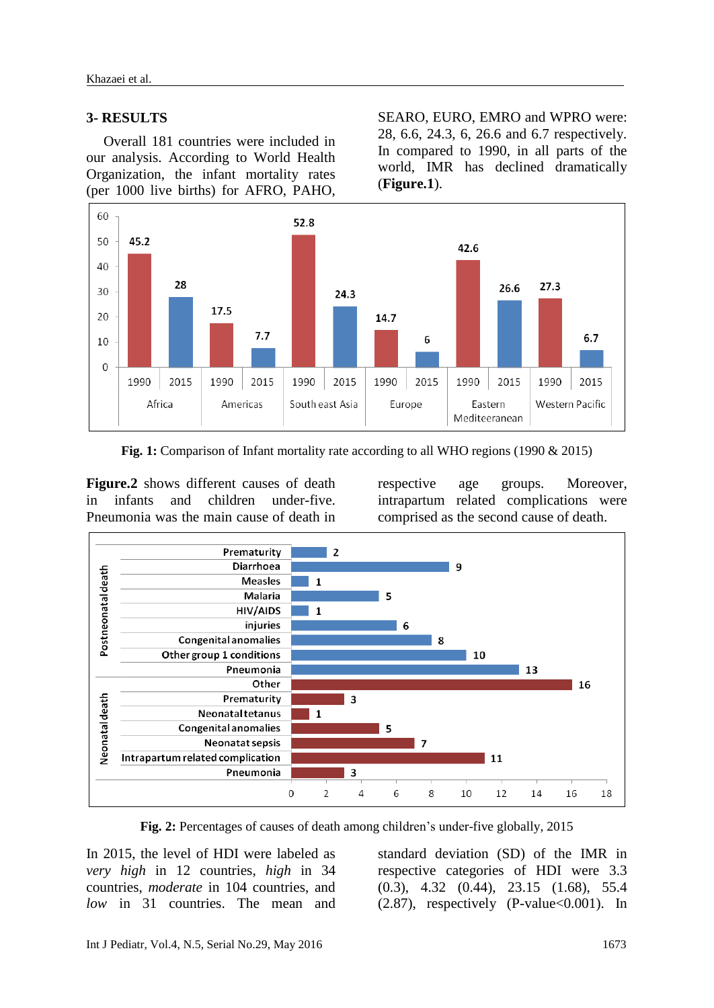### **3- RESULTS**

Overall 181 countries were included in our analysis. According to World Health Organization, the infant mortality rates (per 1000 live births) for AFRO, PAHO,

SEARO, EURO, EMRO and WPRO were: 28, 6.6, 24.3, 6, 26.6 and 6.7 respectively. In compared to 1990, in all parts of the world, IMR has declined dramatically (**Figure.1**).



**Fig. 1:** Comparison of Infant mortality rate according to all WHO regions (1990 & 2015)

**Figure.2** shows different causes of death in infants and children under-five. Pneumonia was the main cause of death in

respective age groups. Moreover, intrapartum related complications were comprised as the second cause of death.



**Fig. 2:** Percentages of causes of death among children's under-five globally, 2015

In 2015, the level of HDI were labeled as *very high* in 12 countries, *high* in 34 countries, *moderate* in 104 countries, and *low* in 31 countries. The mean and

standard deviation (SD) of the IMR in respective categories of HDI were 3.3 (0.3), 4.32 (0.44), 23.15 (1.68), 55.4  $(2.87)$ , respectively  $(P-value<0.001)$ . In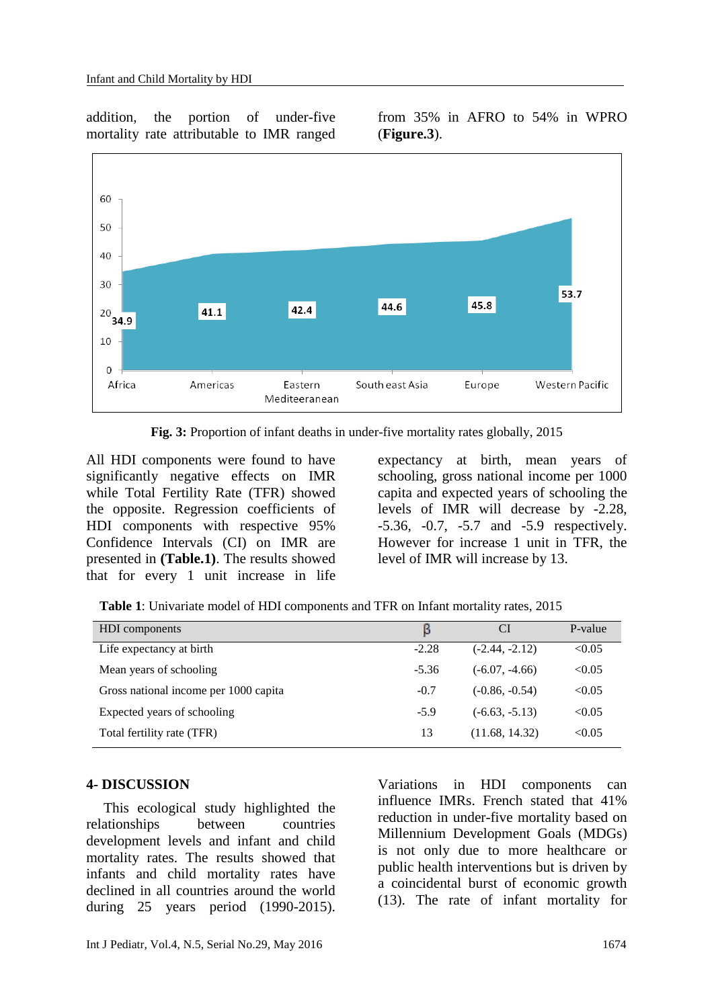addition, the portion of under-five mortality rate attributable to IMR ranged

from 35% in AFRO to 54% in WPRO (**Figure.3**).



**Fig. 3:** Proportion of infant deaths in under-five mortality rates globally, 2015

All HDI components were found to have significantly negative effects on IMR while Total Fertility Rate (TFR) showed the opposite. Regression coefficients of HDI components with respective 95% Confidence Intervals (CI) on IMR are presented in **(Table.1)**. The results showed that for every 1 unit increase in life expectancy at birth, mean years of schooling, gross national income per 1000 capita and expected years of schooling the levels of IMR will decrease by -2.28, -5.36, -0.7, -5.7 and -5.9 respectively. However for increase 1 unit in TFR, the level of IMR will increase by 13.

| <b>HDI</b> components                 | в       | <b>CI</b>        | P-value |
|---------------------------------------|---------|------------------|---------|
| Life expectancy at birth              | $-2.28$ | $(-2.44, -2.12)$ | < 0.05  |
| Mean years of schooling               | $-5.36$ | $(-6.07, -4.66)$ | < 0.05  |
| Gross national income per 1000 capita | $-0.7$  | $(-0.86, -0.54)$ | < 0.05  |
| Expected years of schooling           | $-5.9$  | $(-6.63, -5.13)$ | < 0.05  |
| Total fertility rate (TFR)            | 13      | (11.68, 14.32)   | < 0.05  |

#### **4- DISCUSSION**

This ecological study highlighted the relationships between countries development levels and infant and child mortality rates. The results showed that infants and child mortality rates have declined in all countries around the world during 25 years period (1990-2015).

Variations in HDI components can influence IMRs. French stated that 41% reduction in under-five mortality based on Millennium Development Goals (MDGs) is not only due to more healthcare or public health interventions but is driven by a coincidental burst of economic growth [\(13\)](#page-5-12). The rate of infant mortality for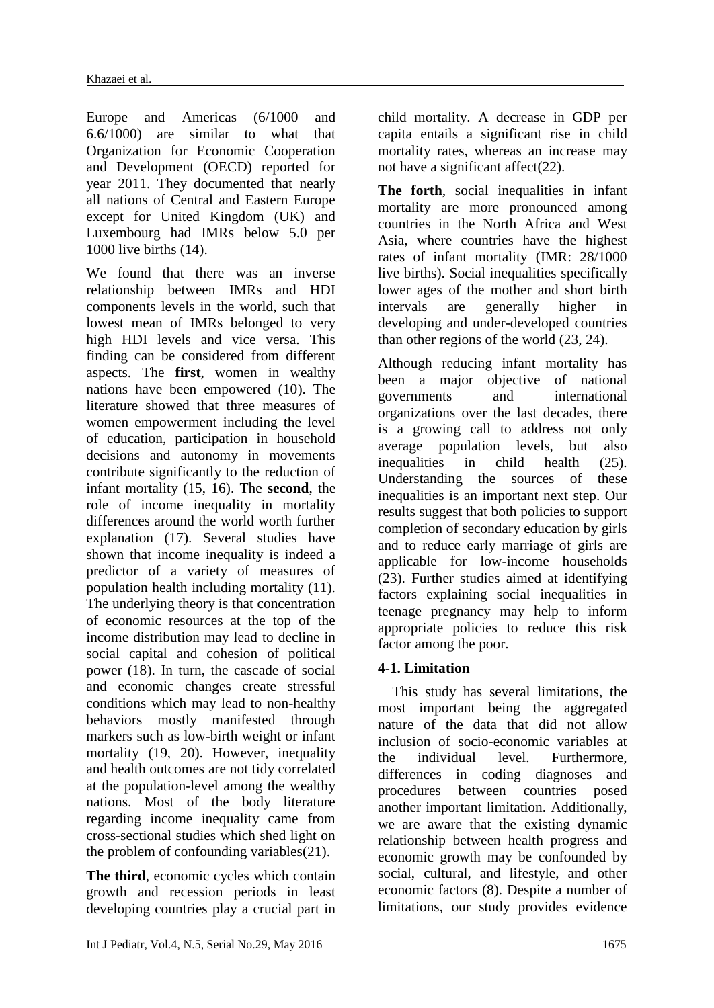Europe and Americas (6/1000 and 6.6/1000) are similar to what that Organization for Economic Cooperation and Development (OECD) reported for year 2011. They documented that nearly all nations of Central and Eastern Europe except for United Kingdom (UK) and Luxembourg had IMRs below 5.0 per 1000 live births [\(14\)](#page-5-13).

We found that there was an inverse relationship between IMRs and HDI components levels in the world, such that lowest mean of IMRs belonged to very high HDI levels and vice versa. This finding can be considered from different aspects. The **first**, women in wealthy nations have been empowered [\(10\)](#page-5-9). The literature showed that three measures of women empowerment including the level of education, participation in household decisions and autonomy in movements contribute significantly to the reduction of infant mortality [\(15,](#page-5-14) [16\)](#page-5-15). The **second**, the role of income inequality in mortality differences around the world worth further explanation [\(17\)](#page-5-16). Several studies have shown that income inequality is indeed a predictor of a variety of measures of population health including mortality [\(11\)](#page-5-10). The underlying theory is that concentration of economic resources at the top of the income distribution may lead to decline in social capital and cohesion of political power [\(18\)](#page-5-17). In turn, the cascade of social and economic changes create stressful conditions which may lead to non-healthy behaviors mostly manifested through markers such as low-birth weight or infant mortality [\(19,](#page-5-18) [20\)](#page-6-0). However, inequality and health outcomes are not tidy correlated at the population-level among the wealthy nations. Most of the body literature regarding income inequality came from cross-sectional studies which shed light on the problem of confounding variables[\(21\)](#page-6-1).

**The third**, economic cycles which contain growth and recession periods in least developing countries play a crucial part in

child mortality. A decrease in GDP per capita entails a significant rise in child mortality rates, whereas an increase may not have a significant affect[\(22\)](#page-6-2).

**The forth**, social inequalities in infant mortality are more pronounced among countries in the North Africa and West Asia, where countries have the highest rates of infant mortality (IMR: 28/1000 live births). Social inequalities specifically lower ages of the mother and short birth intervals are generally higher in developing and under-developed countries than other regions of the world [\(23,](#page-6-3) [24\)](#page-6-4).

Although reducing infant mortality has been a major objective of national governments and international organizations over the last decades, there is a growing call to address not only average population levels, but also inequalities in child health [\(25\)](#page-6-5). Understanding the sources of these inequalities is an important next step. Our results suggest that both policies to support completion of secondary education by girls and to reduce early marriage of girls are applicable for low-income households [\(23\)](#page-6-3). Further studies aimed at identifying factors explaining social inequalities in teenage pregnancy may help to inform appropriate policies to reduce this risk factor among the poor.

# **4-1. Limitation**

 This study has several limitations, the most important being the aggregated nature of the data that did not allow inclusion of socio-economic variables at the individual level. Furthermore, differences in coding diagnoses and procedures between countries posed another important limitation. Additionally, we are aware that the existing dynamic relationship between health progress and economic growth may be confounded by social, cultural, and lifestyle, and other economic factors [\(8\)](#page-5-7). Despite a number of limitations, our study provides evidence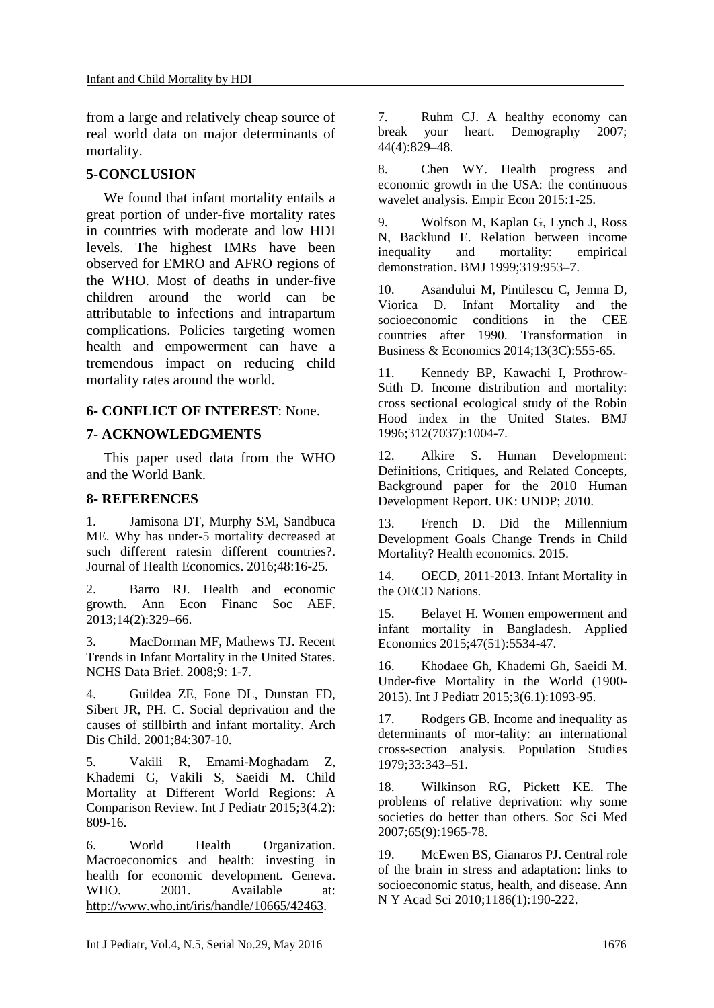from a large and relatively cheap source of real world data on major determinants of mortality.

# **5-CONCLUSION**

We found that infant mortality entails a great portion of under-five mortality rates in countries with moderate and low HDI levels. The highest IMRs have been observed for EMRO and AFRO regions of the WHO. Most of deaths in under-five children around the world can be attributable to infections and intrapartum complications. Policies targeting women health and empowerment can have a tremendous impact on reducing child mortality rates around the world.

### **6- CONFLICT OF INTEREST**: None.

### **7- ACKNOWLEDGMENTS**

This paper used data from the WHO and the World Bank.

### **8- REFERENCES**

<span id="page-5-0"></span>1. Jamisona DT, Murphy SM, Sandbuca ME. Why has under-5 mortality decreased at such different ratesin different countries?. Journal of Health Economics. 2016;48:16-25.

<span id="page-5-1"></span>2. Barro RJ. Health and economic growth. Ann Econ Financ Soc AEF. 2013;14(2):329–66.

<span id="page-5-2"></span>3. MacDorman MF, Mathews TJ. Recent Trends in Infant Mortality in the United States. NCHS Data Brief. 2008;9: 1-7.

<span id="page-5-3"></span>4. Guildea ZE, Fone DL, Dunstan FD, Sibert JR, PH. C. Social deprivation and the causes of stillbirth and infant mortality. Arch Dis Child. 2001;84:307-10.

<span id="page-5-4"></span>5. Vakili R, Emami-Moghadam Z, Khademi G, Vakili S, Saeidi M. Child Mortality at Different World Regions: A Comparison Review. Int J Pediatr 2015;3(4.2):  $809 - 16$ .

<span id="page-5-5"></span>6. World Health Organization. Macroeconomics and health: investing in health for economic development. Geneva. WHO. 2001. Available at: [http://www.who.int/iris/handle/10665/42463.](http://www.who.int/iris/handle/10665/42463)

7. Ruhm CJ. A healthy economy can break your heart. Demography 2007; 44(4):829–48.

<span id="page-5-7"></span>8. Chen WY. Health progress and economic growth in the USA: the continuous wavelet analysis. Empir Econ 2015:1-25.

<span id="page-5-8"></span>9. Wolfson M, Kaplan G, Lynch J, Ross N, Backlund E. Relation between income inequality and mortality: empirical demonstration. BMJ 1999;319:953–7.

<span id="page-5-9"></span>10. Asandului M, Pintilescu C, Jemna D, Viorica D. Infant Mortality and the socioeconomic conditions in the CEE countries after 1990. Transformation in Business & Economics 2014;13(3C):555-65.

<span id="page-5-10"></span>11. Kennedy BP, Kawachi I, Prothrow-Stith D. Income distribution and mortality: cross sectional ecological study of the Robin Hood index in the United States. BMJ 1996;312(7037):1004-7.

<span id="page-5-11"></span>12. Alkire S. Human Development: Definitions, Critiques, and Related Concepts, Background paper for the 2010 Human Development Report. UK: UNDP; 2010.

<span id="page-5-12"></span>13. French D. Did the Millennium Development Goals Change Trends in Child Mortality? Health economics. 2015.

<span id="page-5-13"></span>14. OECD, 2011-2013. Infant Mortality in the OECD Nations.

<span id="page-5-14"></span>15. Belayet H. Women empowerment and infant mortality in Bangladesh. Applied Economics 2015;47(51):5534-47.

<span id="page-5-15"></span>16. Khodaee Gh, Khademi Gh, Saeidi M. Under-five Mortality in the World (1900- 2015). Int J Pediatr 2015;3(6.1):1093-95.

<span id="page-5-16"></span>17. Rodgers GB. Income and inequality as determinants of mor-tality: an international cross-section analysis. Population Studies 1979;33:343–51.

<span id="page-5-17"></span>18. Wilkinson RG, Pickett KE. The problems of relative deprivation: why some societies do better than others. Soc Sci Med 2007;65(9):1965-78.

<span id="page-5-18"></span><span id="page-5-6"></span>19. McEwen BS, Gianaros PJ. Central role of the brain in stress and adaptation: links to socioeconomic status, health, and disease. Ann N Y Acad Sci 2010;1186(1):190-222.